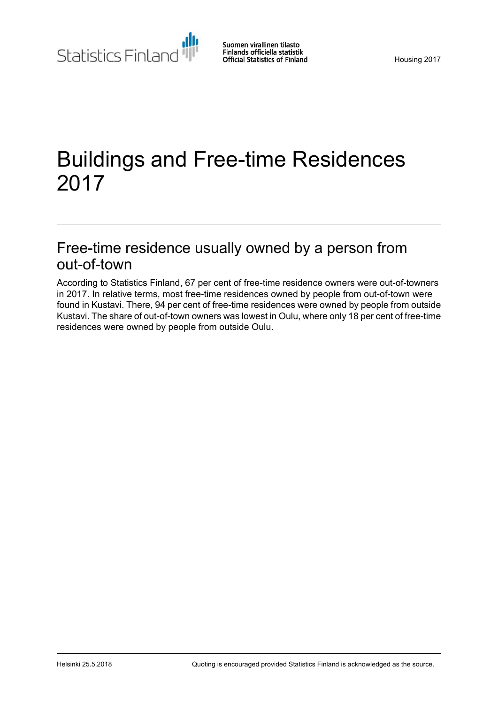Statistics Finland

# Buildings and Free-time Residences 2017

## Free-time residence usually owned by a person from out-of-town

According to Statistics Finland, 67 per cent of free-time residence owners were out-of-towners in 2017. In relative terms, most free-time residences owned by people from out-of-town were found in Kustavi. There, 94 per cent of free-time residences were owned by people from outside Kustavi. The share of out-of-town owners was lowest in Oulu, where only 18 per cent of free-time residences were owned by people from outside Oulu.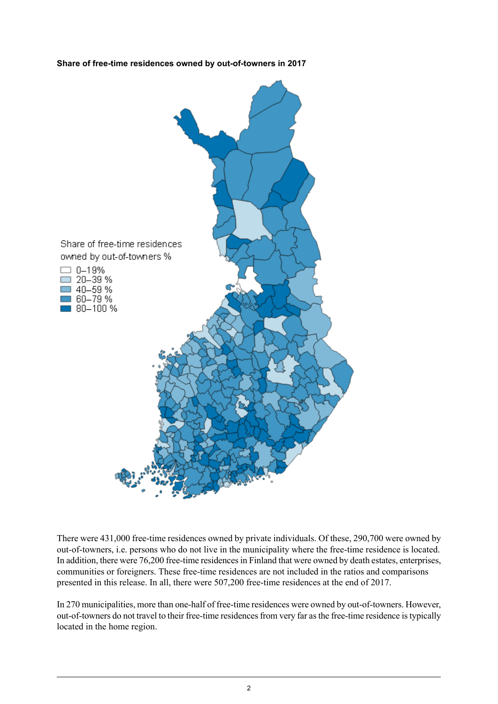



There were 431,000 free-time residences owned by private individuals. Of these, 290,700 were owned by out-of-towners, i.e. persons who do not live in the municipality where the free-time residence is located. In addition, there were 76,200 free-time residencesin Finland that were owned by death estates, enterprises, communities or foreigners. These free-time residences are not included in the ratios and comparisons presented in this release. In all, there were 507,200 free-time residences at the end of 2017.

In 270 municipalities, more than one-half of free-time residences were owned by out-of-towners. However, out-of-towners do not travel to their free-time residences from very far as the free-time residence is typically located in the home region.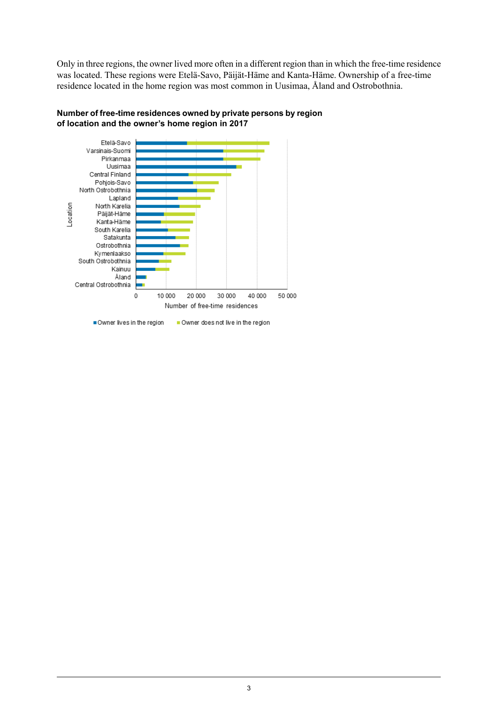Only in three regions, the owner lived more often in a different region than in which the free-time residence was located. These regions were Etelä-Savo, Päijät-Häme and Kanta-Häme. Ownership of a free-time residence located in the home region was most common in Uusimaa, Åland and Ostrobothnia.



**Number of free-time residences owned by private persons by region of location and the owner's home region in 2017**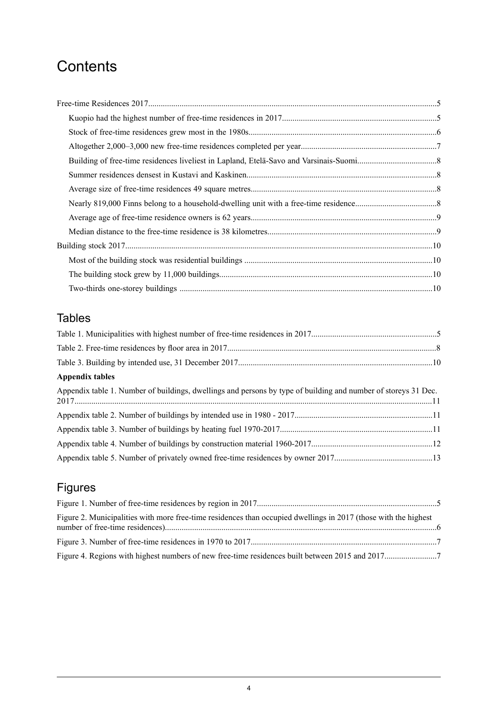## **Contents**

## Tables

| Appendix tables                                                                                                |  |
|----------------------------------------------------------------------------------------------------------------|--|
| Appendix table 1. Number of buildings, dwellings and persons by type of building and number of storeys 31 Dec. |  |
|                                                                                                                |  |
|                                                                                                                |  |
|                                                                                                                |  |
|                                                                                                                |  |

## Figures

| Figure 2. Municipalities with more free-time residences than occupied dwellings in 2017 (those with the highest |  |
|-----------------------------------------------------------------------------------------------------------------|--|
|                                                                                                                 |  |
|                                                                                                                 |  |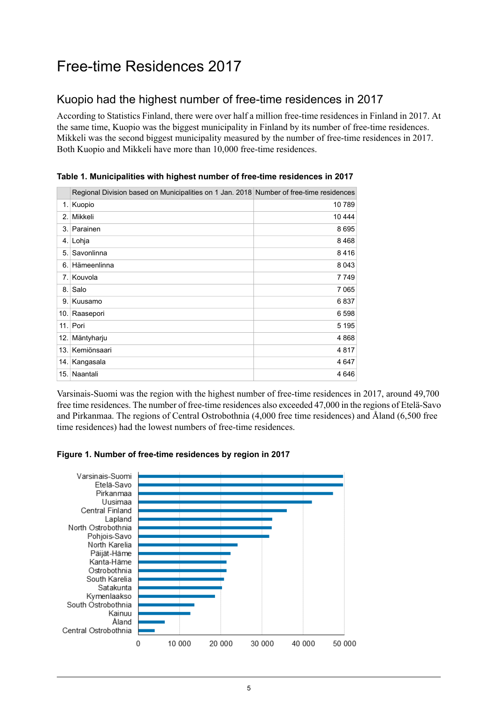## <span id="page-4-0"></span>Free-time Residences 2017

### <span id="page-4-1"></span>Kuopio had the highest number of free-time residences in 2017

According to Statistics Finland, there were over half a million free-time residences in Finland in 2017. At the same time, Kuopio was the biggest municipality in Finland by its number of free-time residences. Mikkeli was the second biggest municipality measured by the number of free-time residences in 2017. Both Kuopio and Mikkeli have more than 10,000 free-time residences.

|      | Regional Division based on Municipalities on 1 Jan. 2018 Number of free-time residences |         |
|------|-----------------------------------------------------------------------------------------|---------|
|      | 1. Kuopio                                                                               | 10789   |
| 2.   | Mikkeli                                                                                 | 10 444  |
| 3.1  | Parainen                                                                                | 8695    |
|      | 4. Lohja                                                                                | 8468    |
| 5.   | Savonlinna                                                                              | 8416    |
| 6.   | Hämeenlinna                                                                             | 8 0 4 3 |
| 7.1  | Kouvola                                                                                 | 7749    |
| 8.1  | Salo                                                                                    | 7 0 65  |
|      | 9. Kuusamo                                                                              | 6837    |
| 10.1 | Raasepori                                                                               | 6 5 9 8 |
|      | 11. Pori                                                                                | 5 1 9 5 |
| 12.1 | Mäntyharju                                                                              | 4 8 6 8 |
|      | 13. Kemiönsaari                                                                         | 4817    |
| 14.  | Kangasala                                                                               | 4 6 4 7 |
|      | 15. Naantali                                                                            | 4646    |

<span id="page-4-2"></span>**Table 1. Municipalities with highest number of free-time residences in 2017**

<span id="page-4-3"></span>Varsinais-Suomi was the region with the highest number of free-time residences in 2017, around 49,700 free time residences. The number of free-time residences also exceeded 47,000 in the regions of Etelä-Savo and Pirkanmaa. The regions of Central Ostrobothnia (4,000 free time residences) and Åland (6,500 free time residences) had the lowest numbers of free-time residences.



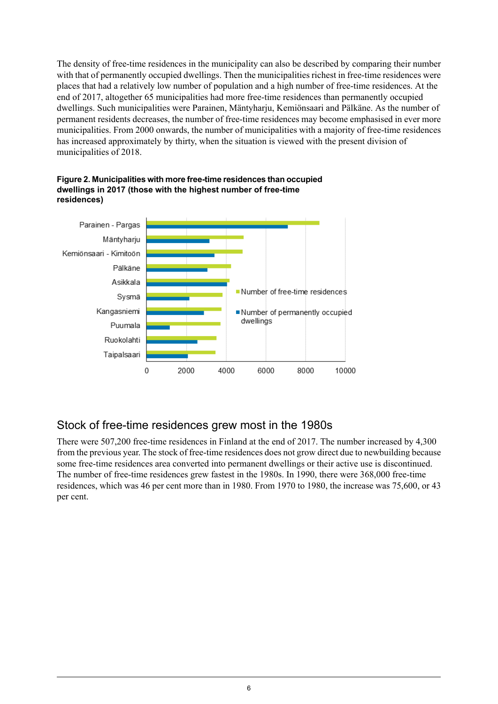The density of free-time residences in the municipality can also be described by comparing their number with that of permanently occupied dwellings. Then the municipalities richest in free-time residences were places that had a relatively low number of population and a high number of free-time residences. At the end of 2017, altogether 65 municipalities had more free-time residences than permanently occupied dwellings. Such municipalities were Parainen, Mäntyharju, Kemiönsaari and Pälkäne. As the number of permanent residents decreases, the number of free-time residences may become emphasised in ever more municipalities. From 2000 onwards, the number of municipalities with a majority of free-time residences has increased approximately by thirty, when the situation is viewed with the present division of municipalities of 2018.



<span id="page-5-1"></span>

### <span id="page-5-0"></span>Stock of free-time residences grew most in the 1980s

There were 507,200 free-time residences in Finland at the end of 2017. The number increased by 4,300 from the previous year. The stock of free-time residences does not grow direct due to newbuilding because some free-time residences area converted into permanent dwellings or their active use is discontinued. The number of free-time residences grew fastest in the 1980s. In 1990, there were 368,000 free-time residences, which was 46 per cent more than in 1980. From 1970 to 1980, the increase was 75,600, or 43 per cent.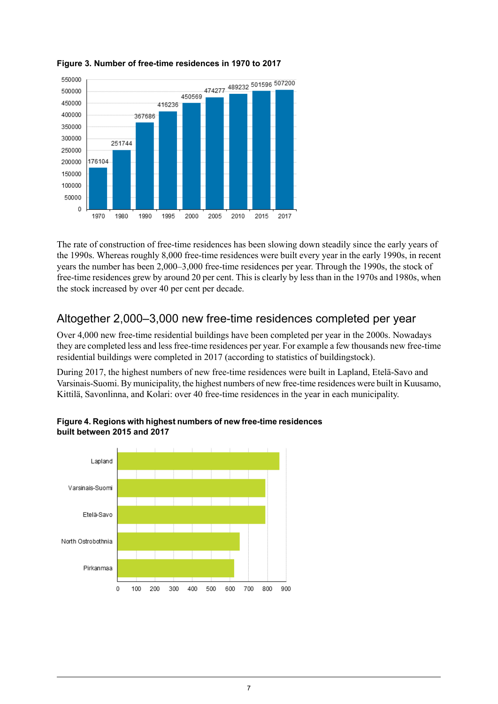

#### <span id="page-6-1"></span>**Figure 3. Number of free-time residences in 1970 to 2017**

The rate of construction of free-time residences has been slowing down steadily since the early years of the 1990s. Whereas roughly 8,000 free-time residences were built every year in the early 1990s, in recent years the number has been 2,000–3,000 free-time residences per year. Through the 1990s, the stock of free-time residences grew by around 20 per cent. This is clearly by less than in the 1970s and 1980s, when the stock increased by over 40 per cent per decade.

### <span id="page-6-0"></span>Altogether 2,000–3,000 new free-time residences completed per year

Over 4,000 new free-time residential buildings have been completed per year in the 2000s. Nowadays they are completed less and less free-time residences per year. For example a few thousands new free-time residential buildings were completed in 2017 (according to statistics of buildingstock).

<span id="page-6-2"></span>During 2017, the highest numbers of new free-time residences were built in Lapland, Etelä-Savo and Varsinais-Suomi. By municipality, the highest numbers of new free-time residences were built in Kuusamo, Kittilä, Savonlinna, and Kolari: over 40 free-time residences in the year in each municipality.



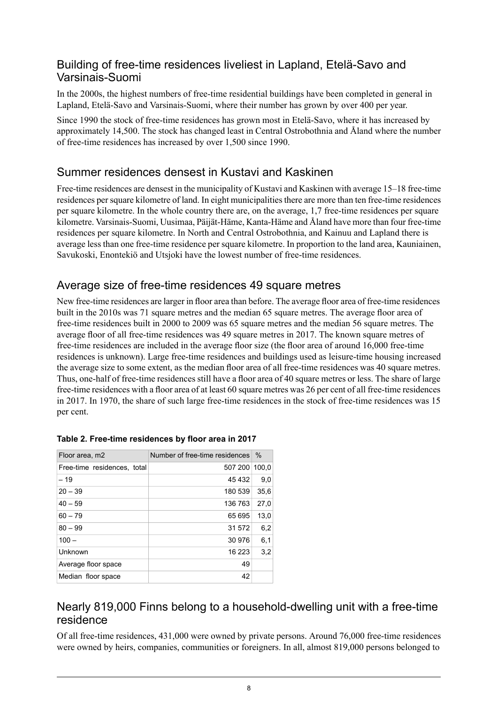#### <span id="page-7-0"></span>Building of free-time residences liveliest in Lapland, Etelä-Savo and Varsinais-Suomi

In the 2000s, the highest numbers of free-time residential buildings have been completed in general in Lapland, Etelä-Savo and Varsinais-Suomi, where their number has grown by over 400 per year.

Since 1990 the stock of free-time residences has grown most in Etelä-Savo, where it has increased by approximately 14,500. The stock has changed least in Central Ostrobothnia and Åland where the number of free-time residences has increased by over 1,500 since 1990.

#### <span id="page-7-1"></span>Summer residences densest in Kustavi and Kaskinen

Free-time residences are densest in the municipality of Kustavi and Kaskinen with average 15–18 free-time residences per square kilometre of land. In eight municipalities there are more than ten free-time residences per square kilometre. In the whole country there are, on the average, 1,7 free-time residences per square kilometre. Varsinais-Suomi, Uusimaa, Päijät-Häme, Kanta-Häme and Åland have more than four free-time residences per square kilometre. In North and Central Ostrobothnia, and Kainuu and Lapland there is average less than one free-time residence per square kilometre. In proportion to the land area, Kauniainen, Savukoski, Enontekiö and Utsjoki have the lowest number of free-time residences.

#### <span id="page-7-2"></span>Average size of free-time residences 49 square metres

New free-time residences are larger in floor area than before. The average floor area of free-time residences built in the 2010s was 71 square metres and the median 65 square metres. The average floor area of free-time residences built in 2000 to 2009 was 65 square metres and the median 56 square metres. The average floor of all free-time residences was 49 square metres in 2017. The known square metres of free-time residences are included in the average floor size (the floor area of around 16,000 free-time residences is unknown). Large free-time residences and buildings used as leisure-time housing increased the average size to some extent, as the median floor area of all free-time residences was 40 square metres. Thus, one-half of free-time residences still have a floor area of 40 square metres or less. The share of large free-time residences with a floor area of at least 60 square metres was 26 per cent of all free-time residences in 2017. In 1970, the share of such large free-time residences in the stock of free-time residences was 15 per cent.

| Floor area, m2              | Number of free-time residences | $\%$  |
|-----------------------------|--------------------------------|-------|
| Free-time residences, total | 507 200                        | 100,0 |
| $-19$                       | 45 432                         | 9,0   |
| $20 - 39$                   | 180 539                        | 35,6  |
| $40 - 59$                   | 136 763                        | 27.0  |
| $60 - 79$                   | 65 695                         | 13,0  |
| $80 - 99$                   | 31 572                         | 6,2   |
| $100 -$                     | 30 976                         | 6,1   |
| Unknown                     | 16 223                         | 3,2   |
| Average floor space         | 49                             |       |
| Median floor space          | 42                             |       |

<span id="page-7-4"></span>

|  | Table 2. Free-time residences by floor area in 2017 |  |  |
|--|-----------------------------------------------------|--|--|

#### <span id="page-7-3"></span>Nearly 819,000 Finns belong to a household-dwelling unit with a free-time residence

Of all free-time residences, 431,000 were owned by private persons. Around 76,000 free-time residences were owned by heirs, companies, communities or foreigners. In all, almost 819,000 persons belonged to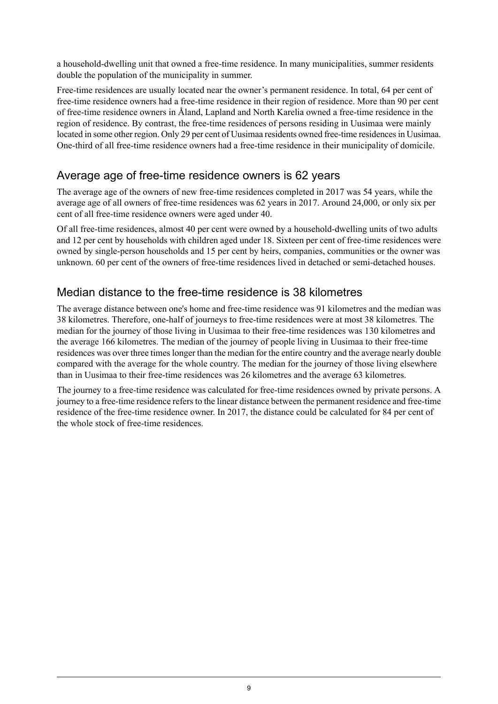a household-dwelling unit that owned a free-time residence. In many municipalities, summer residents double the population of the municipality in summer.

Free-time residences are usually located near the owner's permanent residence. In total, 64 per cent of free-time residence owners had a free-time residence in their region of residence. More than 90 per cent of free-time residence owners in Åland, Lapland and North Karelia owned a free-time residence in the region of residence. By contrast, the free-time residences of persons residing in Uusimaa were mainly located in some other region. Only 29 per cent of Uusimaa residents owned free-time residencesin Uusimaa. One-third of all free-time residence owners had a free-time residence in their municipality of domicile.

#### <span id="page-8-0"></span>Average age of free-time residence owners is 62 years

The average age of the owners of new free-time residences completed in 2017 was 54 years, while the average age of all owners of free-time residences was 62 years in 2017. Around 24,000, or only six per cent of all free-time residence owners were aged under 40.

Of all free-time residences, almost 40 per cent were owned by a household-dwelling units of two adults and 12 per cent by households with children aged under 18. Sixteen per cent of free-time residences were owned by single-person households and 15 per cent by heirs, companies, communities or the owner was unknown. 60 per cent of the owners of free-time residences lived in detached or semi-detached houses.

### <span id="page-8-1"></span>Median distance to the free-time residence is 38 kilometres

The average distance between one's home and free-time residence was 91 kilometres and the median was 38 kilometres. Therefore, one-half of journeys to free-time residences were at most 38 kilometres. The median for the journey of those living in Uusimaa to their free-time residences was 130 kilometres and the average 166 kilometres. The median of the journey of people living in Uusimaa to their free-time residences was over three timeslonger than the median for the entire country and the average nearly double compared with the average for the whole country. The median for the journey of those living elsewhere than in Uusimaa to their free-time residences was 26 kilometres and the average 63 kilometres.

The journey to a free-time residence was calculated for free-time residences owned by private persons. A journey to a free-time residence refersto the linear distance between the permanent residence and free-time residence of the free-time residence owner. In 2017, the distance could be calculated for 84 per cent of the whole stock of free-time residences.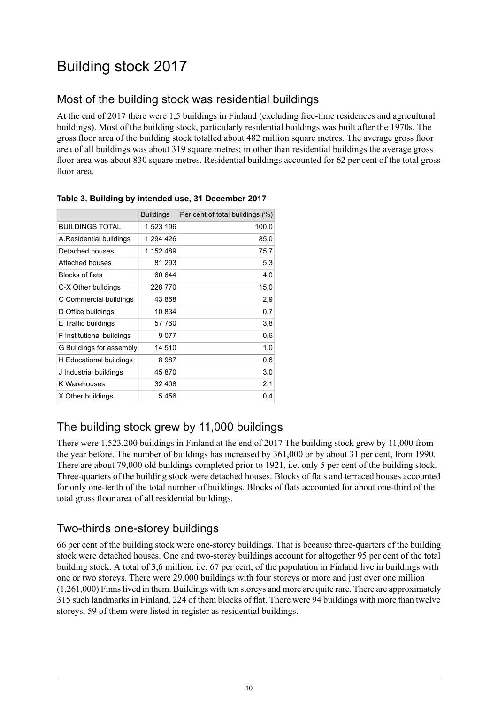## <span id="page-9-0"></span>Building stock 2017

### <span id="page-9-1"></span>Most of the building stock was residential buildings

At the end of 2017 there were 1,5 buildings in Finland (excluding free-time residences and agricultural buildings). Most of the building stock, particularly residential buildings was built after the 1970s. The gross floor area of the building stock totalled about 482 million square metres. The average gross floor area of all buildings was about 319 square metres; in other than residential buildings the average gross floor area was about 830 square metres. Residential buildings accounted for 62 per cent of the total gross floor area.

|                           | <b>Buildings</b> | Per cent of total buildings (%) |
|---------------------------|------------------|---------------------------------|
| <b>BUILDINGS TOTAL</b>    | 1 523 196        | 100,0                           |
| A.Residential buildings   | 1 294 426        | 85,0                            |
| Detached houses           | 1 152 489        | 75,7                            |
| Attached houses           | 81 293           | 5,3                             |
| Blocks of flats           | 60 644           | 4,0                             |
| C-X Other bulldings       | 228 770          | 15,0                            |
| C Commercial buildings    | 43 868           | 2,9                             |
| D Office buildings        | 10 834           | 0,7                             |
| E Traffic buildings       | 57 760           | 3,8                             |
| F Institutional buildings | 9 077            | 0,6                             |
| G Buildings for assembly  | 14 510           | 1,0                             |
| H Educational buildings   | 8 987            | 0,6                             |
| J Industrial buildings    | 45 870           | 3,0                             |
| K Warehouses              | 32 408           | 2,1                             |
| X Other buildings         | 5456             | 0,4                             |

#### <span id="page-9-4"></span>**Table 3. Building by intended use, 31 December 2017**

### <span id="page-9-2"></span>The building stock grew by 11,000 buildings

<span id="page-9-3"></span>There were 1,523,200 buildings in Finland at the end of 2017 The building stock grew by 11,000 from the year before. The number of buildings has increased by 361,000 or by about 31 per cent, from 1990. There are about 79,000 old buildings completed prior to 1921, i.e. only 5 per cent of the building stock. Three-quarters of the building stock were detached houses. Blocks of flats and terraced houses accounted for only one-tenth of the total number of buildings. Blocks of flats accounted for about one-third of the total gross floor area of all residential buildings.

### Two-thirds one-storey buildings

66 per cent of the building stock were one-storey buildings. That is because three-quarters of the building stock were detached houses. One and two-storey buildings account for altogether 95 per cent of the total building stock. A total of 3,6 million, i.e. 67 per cent, of the population in Finland live in buildings with one or two storeys. There were 29,000 buildings with four storeys or more and just over one million (1,261,000) Finnslived in them. Buildings with ten storeys and more are quite rare. There are approximately 315 such landmarks in Finland, 224 of them blocks of flat. There were 94 buildings with more than twelve storeys, 59 of them were listed in register as residential buildings.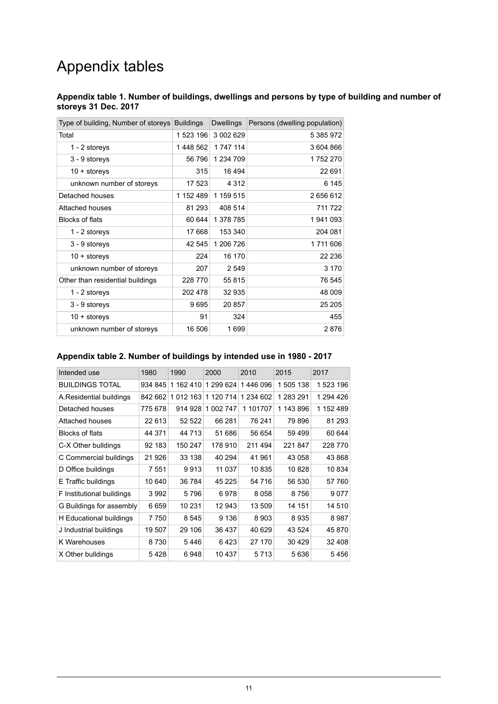## Appendix tables

#### <span id="page-10-0"></span>**Appendix table 1. Number of buildings, dwellings and persons by type of building and number of storeys 31 Dec. 2017**

| Type of building, Number of storeys | <b>Buildings</b> | <b>Dwellings</b> | Persons (dwelling population) |
|-------------------------------------|------------------|------------------|-------------------------------|
| Total                               | 1 523 196        | 3 002 629        | 5 385 972                     |
| 1 - 2 storeys                       | 1448 562         | 1 747 114        | 3 604 866                     |
| 3 - 9 storeys                       | 56 796           | 1 234 709        | 1752270                       |
| $10 +$ storeys                      | 315              | 16 494           | 22 691                        |
| unknown number of storeys           | 17 523           | 4 3 1 2          | 6 1 4 5                       |
| Detached houses                     | 1 152 489        | 1 159 515        | 2 656 612                     |
| Attached houses                     | 81 293           | 408 514          | 711 722                       |
| <b>Blocks of flats</b>              | 60 644           | 1 378 785        | 1941093                       |
| 1 - 2 storeys                       | 17668            | 153 340          | 204 081                       |
| 3 - 9 storeys                       | 42 545           | 1 206 7 26       | 1711606                       |
| $10 +$ storeys                      | 224              | 16 170           | 22 2 36                       |
| unknown number of storeys           | 207              | 2 5 4 9          | 3 1 7 0                       |
| Other than residential buildings    | 228 770          | 55 815           | 76 545                        |
| 1 - 2 storeys                       | 202 478          | 32 935           | 48 009                        |
| 3 - 9 storeys                       | 9695             | 20 857           | 25 205                        |
| $10 +$ storeys                      | 91               | 324              | 455                           |
| unknown number of storeys           | 16 506           | 1699             | 2876                          |

#### <span id="page-10-1"></span>**Appendix table 2. Number of buildings by intended use in 1980 - 2017**

<span id="page-10-2"></span>

| Intended use              | 1980    | 1990          | 2000      | 2010      | 2015      | 2017      |
|---------------------------|---------|---------------|-----------|-----------|-----------|-----------|
| <b>BUILDINGS TOTAL</b>    | 934 845 | 1 162 410     | 1 299 624 | 1446 096  | 1 505 138 | 1523 196  |
| A.Residential buildings   | 842 662 | 1 0 1 2 1 6 3 | 1 120 714 | 1 234 602 | 1 283 291 | 1 294 426 |
| Detached houses           | 775 678 | 914 928       | 1 002 747 | 1 101707  | 1 143 896 | 1 152 489 |
| Attached houses           | 22 613  | 52 522        | 66 281    | 76 241    | 79 896    | 81 293    |
| Blocks of flats           | 44 371  | 44 713        | 51 686    | 56 654    | 59 499    | 60 644    |
| C-X Other bulldings       | 92 183  | 150 247       | 178 910   | 211 494   | 221847    | 228 770   |
| C Commercial buildings    | 21 926  | 33 138        | 40 294    | 41 961    | 43 058    | 43 868    |
| D Office buildings        | 7 551   | 9913          | 11 037    | 10835     | 10828     | 10 834    |
| E Traffic buildings       | 10 640  | 36 784        | 45 225    | 54 716    | 56 530    | 57 760    |
| F Institutional buildings | 3992    | 5796          | 6978      | 8058      | 8756      | 9077      |
| G Buildings for assembly  | 6659    | 10 231        | 12 943    | 13 509    | 14 151    | 14 510    |
| H Educational buildings   | 7750    | 8545          | 9 1 3 6   | 8903      | 8935      | 8987      |
| J Industrial buildings    | 19 507  | 29 10 6       | 36 437    | 40 629    | 43 524    | 45 870    |
| K Warehouses              | 8730    | 5446          | 6423      | 27 170    | 30 4 29   | 32 408    |
| X Other bulldings         | 5428    | 6948          | 10 437    | 5 7 1 3   | 5636      | 5456      |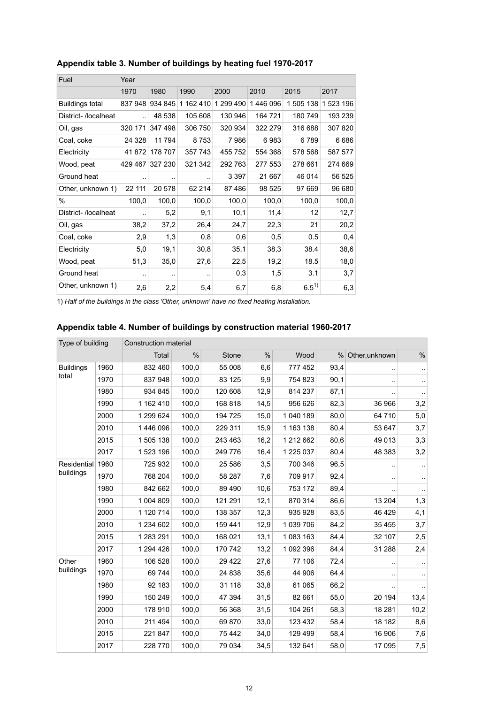| Fuel                   | Year    |         |           |           |          |           |           |  |  |  |
|------------------------|---------|---------|-----------|-----------|----------|-----------|-----------|--|--|--|
|                        | 1970    | 1980    | 1990      | 2000      | 2010     | 2015      | 2017      |  |  |  |
| <b>Buildings total</b> | 837 948 | 934 845 | 1 162 410 | 1 299 490 | 1446 096 | 1 505 138 | 1 523 196 |  |  |  |
| District-/localheat    |         | 48 538  | 105 608   | 130 946   | 164 721  | 180 749   | 193 239   |  |  |  |
| Oil, gas               | 320 171 | 347 498 | 306 750   | 320 934   | 322 279  | 316 688   | 307820    |  |  |  |
| Coal, coke             | 24 3 28 | 11 794  | 8753      | 7986      | 6983     | 6789      | 6686      |  |  |  |
| Electricity            | 41872   | 178 707 | 357 743   | 455 752   | 554 368  | 578 568   | 587 577   |  |  |  |
| Wood, peat             | 429 467 | 327 230 | 321 342   | 292763    | 277 553  | 278 661   | 274 669   |  |  |  |
| Ground heat            |         | ٠.      |           | 3 3 9 7   | 21 667   | 46 014    | 56 525    |  |  |  |
| Other, unknown 1)      | 22 111  | 20 578  | 62 214    | 87486     | 98 525   | 97 669    | 96 680    |  |  |  |
| $\%$                   | 100,0   | 100,0   | 100,0     | 100,0     | 100,0    | 100,0     | 100,0     |  |  |  |
| District- /localheat   | ٠.      | 5,2     | 9,1       | 10,1      | 11,4     | 12        | 12,7      |  |  |  |
| Oil, gas               | 38,2    | 37,2    | 26,4      | 24,7      | 22,3     | 21        | 20,2      |  |  |  |
| Coal, coke             | 2,9     | 1,3     | 0,8       | 0,6       | 0,5      | 0.5       | 0,4       |  |  |  |
| Electricity            | 5,0     | 19,1    | 30,8      | 35,1      | 38,3     | 38.4      | 38,6      |  |  |  |
| Wood, peat             | 51,3    | 35,0    | 27,6      | 22,5      | 19,2     | 18.5      | 18,0      |  |  |  |
| Ground heat            | ٠.      | $\sim$  | ٠.        | 0,3       | 1,5      | 3.1       | 3,7       |  |  |  |
| Other, unknown 1)      | 2,6     | 2,2     | 5,4       | 6,7       | 6,8      | $6.5^{1}$ | 6,3       |  |  |  |

#### **Appendix table 3. Number of buildings by heating fuel 1970-2017**

<span id="page-11-0"></span>1) *Half of the buildings in the class 'Other, unknown' have no fixed heating installation.*

#### **Appendix table 4. Number of buildings by construction material 1960-2017**

| Type of building              |      | Construction material |       |         |      |           |               |                |                      |
|-------------------------------|------|-----------------------|-------|---------|------|-----------|---------------|----------------|----------------------|
|                               |      | Total                 | $\%$  | Stone   | $\%$ | Wood      | $\frac{0}{0}$ | Other, unknown | $\%$                 |
| <b>Buildings</b>              | 1960 | 832 460               | 100,0 | 55 008  | 6,6  | 777 452   | 93,4          |                | $\cdot$ .            |
| total                         | 1970 | 837 948               | 100,0 | 83 125  | 9,9  | 754 823   | 90,1          |                | $\ddot{\phantom{1}}$ |
|                               | 1980 | 934 845               | 100,0 | 120 608 | 12,9 | 814 237   | 87,1          |                |                      |
|                               | 1990 | 1 162 410             | 100,0 | 168 818 | 14,5 | 956 626   | 82,3          | 36 966         | 3,2                  |
|                               | 2000 | 1 299 624             | 100,0 | 194 725 | 15,0 | 1 040 189 | 80,0          | 64 710         | 5,0                  |
|                               | 2010 | 1 446 096             | 100,0 | 229 311 | 15,9 | 1 163 138 | 80,4          | 53 647         | 3,7                  |
|                               | 2015 | 1 505 138             | 100,0 | 243 463 | 16,2 | 1 212 662 | 80,6          | 49 013         | 3,3                  |
|                               | 2017 | 1 523 196             | 100,0 | 249 776 | 16,4 | 1 225 037 | 80,4          | 48 383         | 3,2                  |
| Residential 1960<br>buildings |      | 725 932               | 100,0 | 25 586  | 3,5  | 700 346   | 96,5          |                | $\ddotsc$            |
|                               | 1970 | 768 204               | 100,0 | 58 287  | 7,6  | 709 917   | 92,4          |                | $\ddotsc$            |
|                               | 1980 | 842 662               | 100,0 | 89 490  | 10,6 | 753 172   | 89,4          |                | $\cdot$              |
|                               | 1990 | 1 004 809             | 100,0 | 121 291 | 12,1 | 870 314   | 86,6          | 13 204         | 1,3                  |
|                               | 2000 | 1 120 714             | 100,0 | 138 357 | 12,3 | 935 928   | 83,5          | 46 4 29        | 4,1                  |
|                               | 2010 | 1 234 602             | 100,0 | 159 441 | 12,9 | 1 039 706 | 84,2          | 35 4 55        | 3,7                  |
|                               | 2015 | 1 283 291             | 100,0 | 168 021 | 13,1 | 1083163   | 84,4          | 32 107         | 2,5                  |
|                               | 2017 | 1 294 4 26            | 100,0 | 170 742 | 13,2 | 1 092 396 | 84,4          | 31 288         | 2,4                  |
| Other                         | 1960 | 106 528               | 100,0 | 29 4 22 | 27,6 | 77 106    | 72,4          |                | $\cdot$              |
| buildings                     | 1970 | 69 744                | 100,0 | 24 838  | 35,6 | 44 906    | 64,4          |                | $\ddotsc$            |
|                               | 1980 | 92 183                | 100,0 | 31 118  | 33,8 | 61 065    | 66,2          |                | $\sim$               |
|                               | 1990 | 150 249               | 100,0 | 47 394  | 31,5 | 82 661    | 55,0          | 20 194         | 13,4                 |
|                               | 2000 | 178 910               | 100,0 | 56 368  | 31,5 | 104 261   | 58,3          | 18 28 1        | 10,2                 |
|                               | 2010 | 211 494               | 100,0 | 69 870  | 33,0 | 123 432   | 58,4          | 18 182         | 8,6                  |
|                               | 2015 | 221 847               | 100,0 | 75 442  | 34,0 | 129 499   | 58,4          | 16 906         | 7,6                  |
|                               | 2017 | 228 770               | 100,0 | 79 034  | 34,5 | 132 641   | 58,0          | 17 095         | 7,5                  |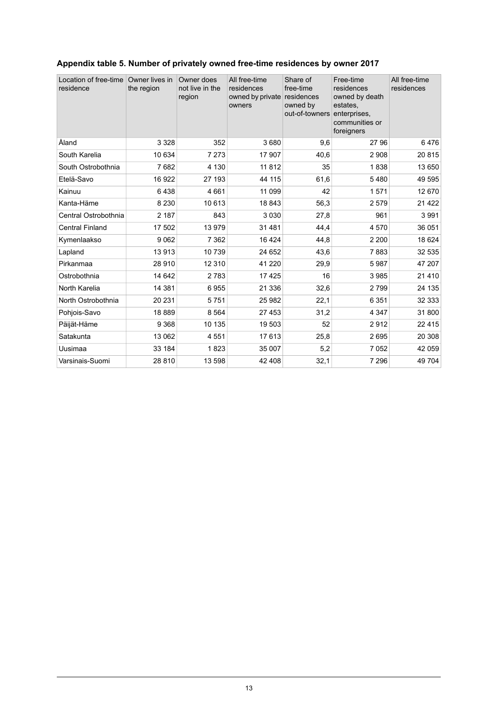| Location of free-time<br>residence | Owner lives in<br>the region | Owner does<br>not live in the<br>region | All free-time<br>residences<br>owned by private<br>owners | Share of<br>free-time<br>residences<br>owned by<br>out-of-towners | Free-time<br>residences<br>owned by death<br>estates.<br>enterprises,<br>communities or<br>foreigners | All free-time<br>residences |
|------------------------------------|------------------------------|-----------------------------------------|-----------------------------------------------------------|-------------------------------------------------------------------|-------------------------------------------------------------------------------------------------------|-----------------------------|
| Åland                              | 3 3 2 8                      | 352                                     | 3680                                                      | 9,6                                                               | 27 96                                                                                                 | 6476                        |
| South Karelia                      | 10 634                       | 7 2 7 3                                 | 17 907                                                    | 40,6                                                              | 2 9 0 8                                                                                               | 20815                       |
| South Ostrobothnia                 | 7682                         | 4 1 3 0                                 | 11812                                                     | 35                                                                | 1838                                                                                                  | 13 650                      |
| Etelä-Savo                         | 16 922                       | 27 193                                  | 44 115                                                    | 61,6                                                              | 5480                                                                                                  | 49 595                      |
| Kainuu                             | 6438                         | 4 6 6 1                                 | 11 099                                                    | 42                                                                | 1571                                                                                                  | 12 670                      |
| Kanta-Häme                         | 8 2 3 0                      | 10 613                                  | 18843                                                     | 56,3                                                              | 2 5 7 9                                                                                               | 21 4 22                     |
| Central Ostrobothnia               | 2 187                        | 843                                     | 3 0 3 0                                                   | 27,8                                                              | 961                                                                                                   | 3991                        |
| <b>Central Finland</b>             | 17 502                       | 13 979                                  | 31 481                                                    | 44,4                                                              | 4570                                                                                                  | 36 051                      |
| Kymenlaakso                        | 9 0 6 2                      | 7 3 6 2                                 | 16 4 24                                                   | 44,8                                                              | 2 2 0 0                                                                                               | 18 624                      |
| Lapland                            | 13913                        | 10739                                   | 24 652                                                    | 43,6                                                              | 7883                                                                                                  | 32 535                      |
| Pirkanmaa                          | 28 910                       | 12 3 10                                 | 41 2 20                                                   | 29,9                                                              | 5987                                                                                                  | 47 207                      |
| Ostrobothnia                       | 14 642                       | 2783                                    | 17 4 25                                                   | 16                                                                | 3985                                                                                                  | 21 4 10                     |
| North Karelia                      | 14 381                       | 6955                                    | 21 336                                                    | 32,6                                                              | 2799                                                                                                  | 24 135                      |
| North Ostrobothnia                 | 20 231                       | 5751                                    | 25 982                                                    | 22,1                                                              | 6 3 5 1                                                                                               | 32 333                      |
| Pohjois-Savo                       | 18889                        | 8 5 6 4                                 | 27 4 53                                                   | 31,2                                                              | 4 3 4 7                                                                                               | 31800                       |
| Päijät-Häme                        | 9 3 6 8                      | 10 135                                  | 19 503                                                    | 52                                                                | 2912                                                                                                  | 22 4 15                     |
| Satakunta                          | 13 062                       | 4551                                    | 17613                                                     | 25,8                                                              | 2695                                                                                                  | 20 308                      |
| Uusimaa                            | 33 184                       | 1823                                    | 35 007                                                    | 5,2                                                               | 7 0 5 2                                                                                               | 42 059                      |
| Varsinais-Suomi                    | 28 810                       | 13 598                                  | 42 408                                                    | 32,1                                                              | 7 2 9 6                                                                                               | 49 704                      |

### <span id="page-12-0"></span>**Appendix table 5. Number of privately owned free-time residences by owner 2017**